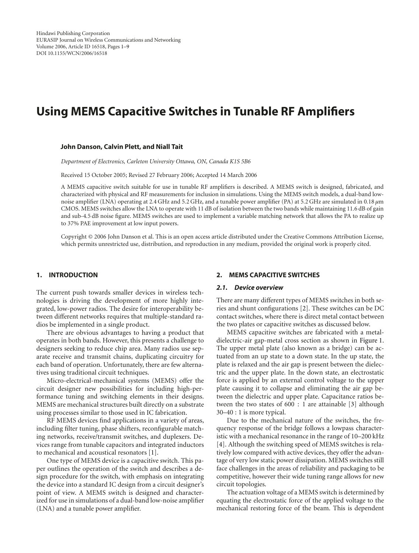# **Using MEMS Capacitive Switches in Tunable RF Amplifiers**

#### **John Danson, Calvin Plett, and Niall Tait**

*Department of Electronics, Carleton University Ottawa, ON, Canada K1S 5B6*

Received 15 October 2005; Revised 27 February 2006; Accepted 14 March 2006

A MEMS capacitive switch suitable for use in tunable RF amplifiers is described. A MEMS switch is designed, fabricated, and characterized with physical and RF measurements for inclusion in simulations. Using the MEMS switch models, a dual-band lownoise amplifier (LNA) operating at 2*.*4 GHz and 5*.*2 GHz, and a tunable power amplifier (PA) at 5*.*2 GHz are simulated in 0*.*<sup>18</sup> *μ*<sup>m</sup> CMOS. MEMS switches allow the LNA to operate with 11 dB of isolation between the two bands while maintaining 11*.*6 dB of gain and sub-4*.*5 dB noise figure. MEMS switches are used to implement a variable matching network that allows the PA to realize up to 37% PAE improvement at low input powers.

Copyright © 2006 John Danson et al. This is an open access article distributed under the Creative Commons Attribution License, which permits unrestricted use, distribution, and reproduction in any medium, provided the original work is properly cited.

## **1. INTRODUCTION**

The current push towards smaller devices in wireless technologies is driving the development of more highly integrated, low-power radios. The desire for interoperability between different networks requires that multiple-standard radios be implemented in a single product.

There are obvious advantages to having a product that operates in both bands. However, this presents a challenge to designers seeking to reduce chip area. Many radios use separate receive and transmit chains, duplicating circuitry for each band of operation. Unfortunately, there are few alternatives using traditional circuit techniques.

Micro-electrical-mechanical systems (MEMS) offer the circuit designer new possibilities for including high-performance tuning and switching elements in their designs. MEMS are mechanical structures built directly on a substrate using processes similar to those used in IC fabrication.

RF MEMS devices find applications in a variety of areas, including filter tuning, phase shifters, reconfigurable matching networks, receive/transmit switches, and duplexers. Devices range from tunable capacitors and integrated inductors to mechanical and acoustical resonators [\[1](#page-7-1)].

One type of MEMS device is a capacitive switch. This paper outlines the operation of the switch and describes a design procedure for the switch, with emphasis on integrating the device into a standard IC design from a circuit designer's point of view. A MEMS switch is designed and characterized for use in simulations of a dual-band low-noise amplifier (LNA) and a tunable power amplifier.

#### **2. MEMS CAPACITIVE SWITCHES**

#### *2.1. Device overview*

There are many different types of MEMS switches in both series and shunt configurations [\[2](#page-7-2)]. These switches can be DC contact switches, where there is direct metal contact between the two plates or capacitive switches as discussed below.

MEMS capacitive switches are fabricated with a metaldielectric-air gap-metal cross section as shown in [Figure 1.](#page-1-0) The upper metal plate (also known as a bridge) can be actuated from an up state to a down state. In the up state, the plate is relaxed and the air gap is present between the dielectric and the upper plate. In the down state, an electrostatic force is applied by an external control voltage to the upper plate causing it to collapse and eliminating the air gap between the dielectric and upper plate. Capacitance ratios between the two states of 600 : 1 are attainable [\[3](#page-7-3)] although 30–40 : 1 is more typical.

Due to the mechanical nature of the switches, the frequency response of the bridge follows a lowpass characteristic with a mechanical resonance in the range of 10–200 kHz [\[4\]](#page-7-4). Although the switching speed of MEMS switches is relatively low compared with active devices, they offer the advantage of very low static power dissipation. MEMS switches still face challenges in the areas of reliability and packaging to be competitive, however their wide tuning range allows for new circuit topologies.

The actuation voltage of a MEMS switch is determined by equating the electrostatic force of the applied voltage to the mechanical restoring force of the beam. This is dependent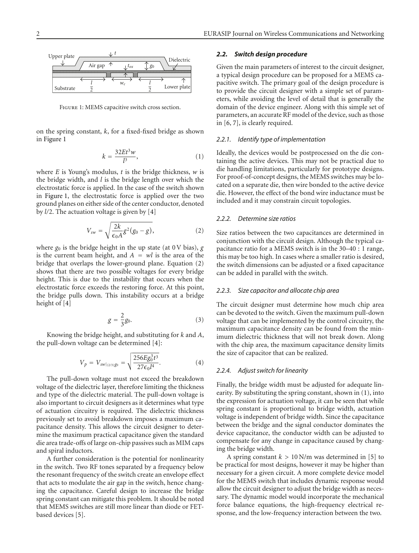

Figure 1: MEMS capacitive switch cross section.

<span id="page-1-0"></span>on the spring constant, *k*, for a fixed-fixed bridge as shown in [Figure 1](#page-1-0)

<span id="page-1-2"></span>
$$
k = \frac{32Et^3w}{l^3},\tag{1}
$$

where *E* is Young's modulus, *t* is the bridge thickness, *w* is the bridge width, and *l* is the bridge length over which the electrostatic force is applied. In the case of the switch shown in [Figure 1,](#page-1-0) the electrostatic force is applied over the two ground planes on either side of the center conductor, denoted by *l/*2. The actuation voltage is given by [\[4](#page-7-4)]

<span id="page-1-1"></span>
$$
V_{sw} = \sqrt{\frac{2k}{\epsilon_0 A} g^2 (g_0 - g)},
$$
 (2)

where  $g_0$  is the bridge height in the up state (at 0 V bias),  $g$ is the current beam height, and  $A = w l$  is the area of the bridge that overlaps the lower-ground plane. Equation [\(2\)](#page-1-1) shows that there are two possible voltages for every bridge height. This is due to the instability that occurs when the electrostatic force exceeds the restoring force. At this point, the bridge pulls down. This instability occurs at a bridge height of [\[4](#page-7-4)]

$$
g = \frac{2}{3}g_0. \tag{3}
$$

Knowing the bridge height, and substituting for *k* and *A*, the pull-down voltage can be determined [\[4](#page-7-4)]:

$$
V_p = V_{sw|_{(2/3)}g_0} = \sqrt{\frac{256E g_0^3 t^3}{27\epsilon_0 l^4}}.
$$
 (4)

The pull-down voltage must not exceed the breakdown voltage of the dielectric layer, therefore limiting the thickness and type of the dielectric material. The pull-down voltage is also important to circuit designers as it determines what type of actuation circuitry is required. The dielectric thickness previously set to avoid breakdown imposes a maximum capacitance density. This allows the circuit designer to determine the maximum practical capacitance given the standard die area trade-offs of large on-chip passives such as MIM caps and spiral inductors.

A further consideration is the potential for nonlinearity in the switch. Two RF tones separated by a frequency below the resonant frequency of the switch create an envelope effect that acts to modulate the air gap in the switch, hence changing the capacitance. Careful design to increase the bridge spring constant can mitigate this problem. It should be noted that MEMS switches are still more linear than diode or FETbased devices [\[5](#page-7-5)].

#### *2.2. Switch design procedure*

Given the main parameters of interest to the circuit designer, a typical design procedure can be proposed for a MEMS capacitive switch. The primary goal of the design procedure is to provide the circuit designer with a simple set of parameters, while avoiding the level of detail that is generally the domain of the device engineer. Along with this simple set of parameters, an accurate RF model of the device, such as those in [\[6,](#page-7-6) [7](#page-7-7)], is clearly required.

## *2.2.1. Identify type of implementation*

Ideally, the devices would be postprocessed on the die containing the active devices. This may not be practical due to die handling limitations, particularly for prototype designs. For proof-of-concept designs, the MEMS switches may be located on a separate die, then wire bonded to the active device die. However, the effect of the bond wire inductance must be included and it may constrain circuit topologies.

## *2.2.2. Determine size ratios*

Size ratios between the two capacitances are determined in conjunction with the circuit design. Although the typical capacitance ratio for a MEMS switch is in the 30–40 : 1 range, this may be too high. In cases where a smaller ratio is desired, the switch dimensions can be adjusted or a fixed capacitance can be added in parallel with the switch.

## *2.2.3. Size capacitor and allocate chip area*

The circuit designer must determine how much chip area can be devoted to the switch. Given the maximum pull-down voltage that can be implemented by the control circuitry, the maximum capacitance density can be found from the minimum dielectric thickness that will not break down. Along with the chip area, the maximum capacitance density limits the size of capacitor that can be realized.

## *2.2.4. Adjust switch for linearity*

Finally, the bridge width must be adjusted for adequate linearity. By substituting the spring constant, shown in [\(1\)](#page-1-2), into the expression for actuation voltage, it can be seen that while spring constant is proportional to bridge width, actuation voltage is independent of bridge width. Since the capacitance between the bridge and the signal conductor dominates the device capacitance, the conductor width can be adjusted to compensate for any change in capacitance caused by changing the bridge width.

A spring constant *k >* 10 N/m was determined in [\[5\]](#page-7-5) to be practical for most designs, however it may be higher than necessary for a given circuit. A more complete device model for the MEMS switch that includes dynamic response would allow the circuit designer to adjust the bridge width as necessary. The dynamic model would incorporate the mechanical force balance equations, the high-frequency electrical response, and the low-frequency interaction between the two.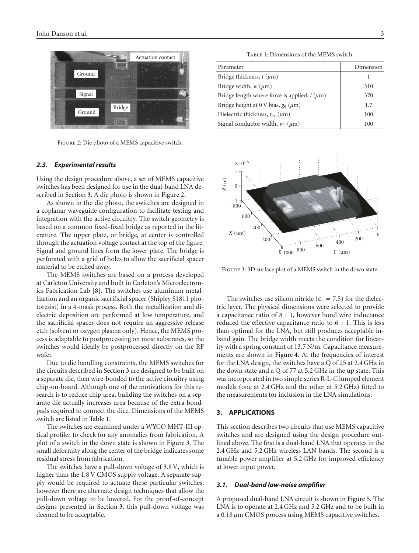

Figure 2: Die photo of a MEMS capacitive switch.

#### <span id="page-2-1"></span>*2.3. Experimental results*

Using the design procedure above, a set of MEMS capacitive switches has been designed for use in the dual-band LNA described in [Section 3.](#page-2-0) A die photo is shown in [Figure 2.](#page-2-1)

As shown in the die photo, the switches are designed in a coplanar waveguide configuration to facilitate testing and integration with the active circuitry. The switch geometry is based on a common fixed-fixed bridge as reported in the literature. The upper plate, or bridge, at center is controlled through the actuation voltage contact at the top of the figure. Signal and ground lines form the lower plate. The bridge is perforated with a grid of holes to allow the sacrificial spacer material to be etched away.

The MEMS switches are based on a process developed at Carleton University and built in Carleton's Microelectronics Fabrication Lab [\[8\]](#page-7-8). The switches use aluminum metallization and an organic sacrificial spacer (Shipley S1811 photoresist) in a 4-mask process. Both the metallization and dielectric deposition are performed at low temperature, and the sacrificial spacer does not require an aggressive release etch (solvent or oxygen plasma only). Hence, the MEMS process is adaptable to postprocessing on most substrates, so the switches would ideally be postprocessed directly on the RF wafer.

Due to die handling constraints, the MEMS switches for the circuits described in [Section 3](#page-2-0) are designed to be built on a separate die, then wire-bonded to the active circuitry using chip-on-board. Although one of the motivations for this research is to reduce chip area, building the switches on a separate die actually increases area because of the extra bondpads required to connect the dice. Dimensions of the MEMS switch are listed in [Table 1.](#page-2-2)

The switches are examined under a WYCO MHT-III optical profiler to check for any anomalies from fabrication. A plot of a switch in the down state is shown in [Figure 3.](#page-2-3) The small deformity along the center of the bridge indicates some residual stress from fabrication.

The switches have a pull-down voltage of 3*.*8 V, which is higher than the 1.8 V CMOS supply voltage. A separate supply would be required to actuate these particular switches, however there are alternate design techniques that allow the pull-down voltage to be lowered. For the proof-of-concept designs presented in [Section 3,](#page-2-0) this pull-down voltage was deemed to be acceptable.

Table 1: Dimensions of the MEMS switch.

<span id="page-2-2"></span>

| Parameter                                        | Dimension |
|--------------------------------------------------|-----------|
| Bridge thickness, $t(\mu m)$                     |           |
| Bridge width, $w(\mu m)$                         | 310       |
| Bridge length where force is applied, $l(\mu m)$ | 370       |
| Bridge height at 0 V bias, $g_0$ ( $\mu$ m)      | 1.7       |
| Dielectric thickness, $t_{ox}$ ( $\mu$ m)        | 100       |
| Signal conductor width, $w_c(\mu m)$             | 100       |
|                                                  |           |



<span id="page-2-3"></span>Figure 3: 3D surface plot of a MEMS switch in the down state.

The switches use silicon nitride  $(\epsilon_r = 7.5)$  for the dielec-<br>layer. The physical dimensions were selected to provide tric layer. The physical dimensions were selected to provide a capacitance ratio of 8 : 1, however bond wire inductance reduced the effective capacitance ratio to 6 : 1. This is less than optimal for the LNA, but still produces acceptable inband gain. The bridge width meets the condition for linearity with a spring constant of 13*.*7 N/m. Capacitance measurements are shown in [Figure 4.](#page-3-0) At the frequencies of interest for the LNA design, the switches have a Q of 25 at 2*.*4 GHz in the down state and a Q of 77 at 5*.*2 GHz in the up state. This was incorporated in two simple series R-L-C lumped element models (one at 2*.*4 GHz and the other at 5*.*2 GHz) fitted to the measurements for inclusion in the LNA simulations.

# <span id="page-2-0"></span>**3. APPLICATIONS**

This section describes two circuits that use MEMS capacitive switches and are designed using the design procedure outlined above. The first is a dual-band LNA that operates in the <sup>2</sup>*.*4 GHz and 5*.*2 GHz wireless LAN bands. The second is a tunable power amplifier at 5*.*2 GHz for improved efficiency at lower input power.

#### *3.1. Dual-band low-noise amplifier*

A proposed dual-band LNA circuit is shown in [Figure 5.](#page-3-1) The LNA is to operate at 2*.*4 GHz and 5*.*2 GHz and to be built in a 0*.*<sup>18</sup> *μ*m CMOS process using MEMS capacitive switches.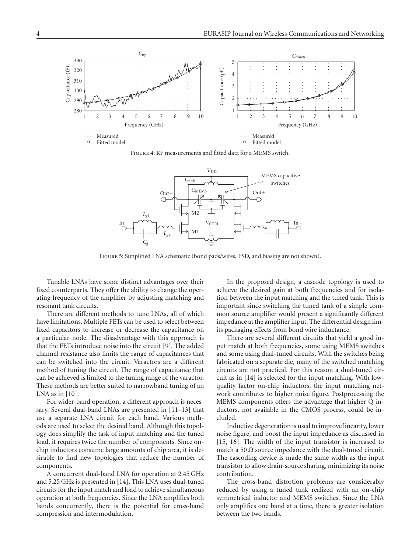

Figure 4: RF measurements and fitted data for a MEMS switch.

<span id="page-3-0"></span>

<span id="page-3-1"></span>Figure 5: Simplified LNA schematic (bond pads/wires, ESD, and biasing are not shown).

Tunable LNAs have some distinct advantages over their fixed counterparts. They offer the ability to change the operating frequency of the amplifier by adjusting matching and resonant tank circuits.

There are different methods to tune LNAs, all of which have limitations. Multiple FETs can be used to select between fixed capacitors to increase or decrease the capacitance on a particular node. The disadvantage with this approach is that the FETs introduce noise into the circuit [\[9](#page-7-9)]. The added channel resistance also limits the range of capacitances that can be switched into the circuit. Varactors are a different method of tuning the circuit. The range of capacitance that can be achieved is limited to the tuning range of the varactor. These methods are better suited to narrowband tuning of an LNA as in  $[10]$  $[10]$ .

For wider-band operation, a different approach is necessary. Several dual-band LNAs are presented in [\[11](#page-7-11)[–13\]](#page-7-12) that use a separate LNA circuit for each band. Various methods are used to select the desired band. Although this topology does simplify the task of input matching and the tuned load, it requires twice the number of components. Since onchip inductors consume large amounts of chip area, it is desirable to find new topologies that reduce the number of components.

A concurrent dual-band LNA for operation at 2*.*45 GHz and 5*.*25 GHz is presented in [\[14](#page-7-13)]. This LNA uses dual-tuned circuits for the input match and load to achieve simultaneous operation at both frequencies. Since the LNA amplifies both bands concurrently, there is the potential for cross-band compression and intermodulation.

In the proposed design, a cascode topology is used to achieve the desired gain at both frequencies and for isolation between the input matching and the tuned tank. This is important since switching the tuned tank of a simple common source amplifier would present a significantly different impedance at the amplifier input. The differential design limits packaging effects from bond wire inductance.

There are several different circuits that yield a good input match at both frequencies, some using MEMS switches and some using dual-tuned circuits. With the switches being fabricated on a separate die, many of the switched matching circuits are not practical. For this reason a dual-tuned circuit as in [\[14\]](#page-7-13) is selected for the input matching. With lowquality factor on-chip inductors, the input matching network contributes to higher noise figure. Postprocessing the MEMS components offers the advantage that higher Q inductors, not available in the CMOS process, could be included.

Inductive degeneration is used to improve linearity, lower noise figure, and boost the input impedance as discussed in [\[15](#page-7-14), [16](#page-7-15)]. The width of the input transistor is increased to match a 50  $\Omega$  source impedance with the dual-tuned circuit. The cascoding device is made the same width as the input transistor to allow drain-source sharing, minimizing its noise contribution.

The cross-band distortion problems are considerably reduced by using a tuned tank realized with an on-chip symmetrical inductor and MEMS switches. Since the LNA only amplifies one band at a time, there is greater isolation between the two bands.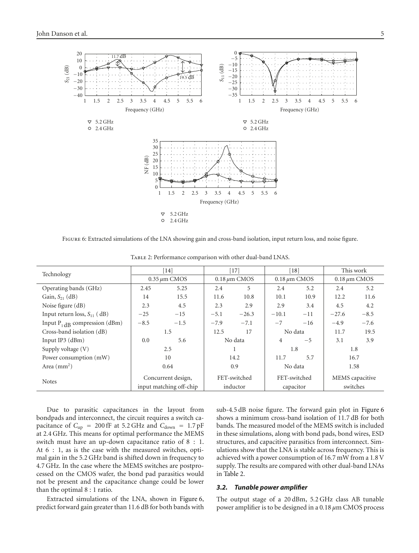

FIGURE 6: Extracted simulations of the LNA showing gain and cross-band isolation, input return loss, and noise figure.

<span id="page-4-0"></span>

| Technology                        | $\lceil 14 \rceil$      |        | $[17]$            |         | $\lceil 18 \rceil$ |       | This work         |        |
|-----------------------------------|-------------------------|--------|-------------------|---------|--------------------|-------|-------------------|--------|
|                                   | $0.35 \mu m$ CMOS       |        | $0.18 \mu m$ CMOS |         | $0.18 \mu m$ CMOS  |       | $0.18 \mu m$ CMOS |        |
| Operating bands (GHz)             | 2.45                    | 5.25   | 2.4               | 5       | 2.4                | 5.2   | 2.4               | 5.2    |
| Gain, $S_{21}$ (dB)               | 14                      | 15.5   | 11.6              | 10.8    | 10.1               | 10.9  | 12.2              | 11.6   |
| Noise figure (dB)                 | 2.3                     | 4.5    | 2.3               | 2.9     | 2.9                | 3.4   | 4.5               | 4.2    |
| Input return loss, $S_{11}$ (dB)  | $-25$                   | $-15$  | $-5.1$            | $-26.3$ | $-10.1$            | $-11$ | $-27.6$           | $-8.5$ |
| Input $P_{1dB}$ compression (dBm) | $-8.5$                  | $-1.5$ | $-7.9$            | $-7.1$  | $-7$               | $-16$ | $-4.9$            | $-7.6$ |
| Cross-band isolation (dB)         | 1.5                     |        | 12.5              | 17      | No data            |       | 11.7              | 19.5   |
| Input IP3 (dBm)                   | 0.0                     | 5.6    | No data           |         | $\overline{4}$     | $-5$  | 3.1               | 3.9    |
| Supply voltage $(V)$              | 2.5                     |        |                   |         | 1.8                |       | 1.8               |        |
| Power consumption (mW)            | 10                      |        |                   | 14.2    | 11.7               | 5.7   |                   | 16.7   |
| Area $(mm^2)$                     | 0.64                    |        | 0.9               |         | No data            |       | 1.58              |        |
| <b>Notes</b>                      | Concurrent design,      |        | FET-switched      |         | FET-switched       |       | MEMS capacitive   |        |
|                                   | input matching off-chip |        | inductor          |         | capacitor          |       | switches          |        |

<span id="page-4-1"></span>TABLE 2: Performance comparison with other dual-band LNAS.

Due to parasitic capacitances in the layout from bondpads and interconnect, the circuit requires a switch capacitance of  $C_{\text{up}}$  = 200 fF at 5.2 GHz and  $C_{\text{down}}$  = 1.7 pF at 2*.*4 GHz. This means for optimal performance the MEMS switch must have an up-down capacitance ratio of 8 : 1. At 6 : 1, as is the case with the measured switches, optimal gain in the 5*.*2 GHz band is shifted down in frequency to <sup>4</sup>*.*7 GHz. In the case where the MEMS switches are postprocessed on the CMOS wafer, the bond pad parasitics would not be present and the capacitance change could be lower than the optimal 8 : 1 ratio.

Extracted simulations of the LNA, shown in [Figure 6,](#page-4-0) predict forward gain greater than 11*.*6 dB for both bands with sub-4*.*5 dB noise figure. The forward gain plot in [Figure 6](#page-4-0) shows a minimum cross-band isolation of 11*.*7 dB for both bands. The measured model of the MEMS switch is included in these simulations, along with bond pads, bond wires, ESD structures, and capacitive parasitics from interconnect. Simulations show that the LNA is stable across frequency. This is achieved with a power consumption of 16*.*7 mW from a 1*.*8 V supply. The results are compared with other dual-band LNAs in [Table 2.](#page-4-1)

#### *3.2. Tunable power amplifier*

The output stage of a 20 dBm, 5*.*2 GHz class AB tunable power amplifier is to be designed in a 0*.*<sup>18</sup> *μ*m CMOS process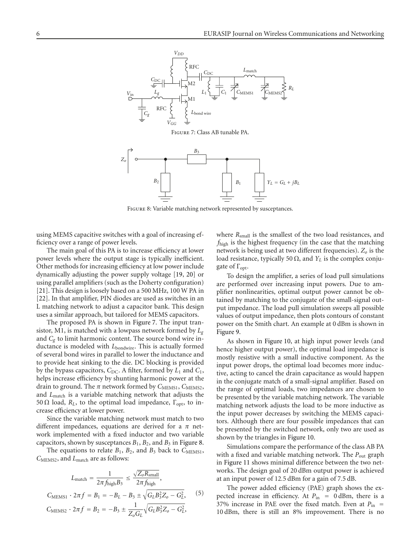

<span id="page-5-0"></span>Figure 7: Class AB tunable PA.



<span id="page-5-1"></span>Figure 8: Variable matching network represented by susceptances.

using MEMS capacitive switches with a goal of increasing efficiency over a range of power levels.

The main goal of this PA is to increase efficiency at lower power levels where the output stage is typically inefficient. Other methods for increasing efficiency at low power include dynamically adjusting the power supply voltage [\[19](#page-7-18), [20\]](#page-8-0) or using parallel amplifiers (such as the Doherty configuration) [\[21](#page-8-1)]. This design is loosely based on a 500 MHz, 100 W PA in [\[22](#page-8-2)]. In that amplifier, PIN diodes are used as switches in an L matching network to adjust a capacitor bank. This design uses a similar approach, but tailored for MEMS capacitors.

The proposed PA is shown in [Figure 7.](#page-5-0) The input transistor, M1, is matched with a lowpass network formed by *Lg* and *Cg* to limit harmonic content. The source bond wire inductance is modeled with *L*bondwire. This is actually formed of several bond wires in parallel to lower the inductance and to provide heat sinking to the die. DC blocking is provided by the bypass capacitors,  $C_{\text{DC}}$ . A filter, formed by  $L_1$  and  $C_1$ , helps increase efficiency by shunting harmonic power at the drain to ground. The *π* network formed by *C*<sub>MEMS1</sub>, *C*<sub>MEMS2</sub>, and *<sup>L</sup>*match is a variable matching network that adjusts the 50  $\Omega$  load,  $R_L$ , to the optimal load impedance,  $\Gamma_{\text{opt}}$ , to increase efficiency at lower power.

Since the variable matching network must match to two different impedances, equations are derived for a *π* network implemented with a fixed inductor and two variable capacitors, shown by susceptances  $B_1$ ,  $B_2$ , and  $B_3$  in [Figure 8.](#page-5-1)

The equations to relate  $B_1$ ,  $B_2$ , and  $B_3$  back to  $C_{\text{MEMS1}}$ , *<sup>C</sup>*MEMS2, and *<sup>L</sup>*match are as follows:

$$
L_{\text{match}} = \frac{1}{2\pi f_{\text{high}} B_3} \le \frac{\sqrt{Z_o R_{\text{small}}}}{2\pi f_{\text{high}}},
$$
  
\n
$$
C_{\text{MEMS1}} \cdot 2\pi f = B_1 = -B_L - B_3 \pm \sqrt{G_L B_3^2 Z_o - G_L^2},
$$
  
\n
$$
C_{\text{MEMS2}} \cdot 2\pi f = B_2 = -B_3 \pm \frac{1}{Z_o G_L} \sqrt{G_L B_3^2 Z_o - G_L^2},
$$
\n(5)

where  $R_{small}$  is the smallest of the two load resistances, and *f*<sub>high</sub> is the highest frequency (in the case that the matching network is being used at two different frequencies). *Zo* is the load resistance, typically 50 Ω, and  $Y_L$  is the complex conjugate of  $\Gamma_{\text{opt}}$ .

To design the amplifier, a series of load pull simulations are performed over increasing input powers. Due to amplifier nonlinearities, optimal output power cannot be obtained by matching to the conjugate of the small-signal output impedance. The load pull simulation sweeps all possible values of output impedance, then plots contours of constant power on the Smith chart. An example at 0 dBm is shown in [Figure 9.](#page-6-0)

As shown in [Figure 10,](#page-6-1) at high input power levels (and hence higher output power), the optimal load impedance is mostly resistive with a small inductive component. As the input power drops, the optimal load becomes more inductive, acting to cancel the drain capacitance as would happen in the conjugate match of a small-signal amplifier. Based on the range of optimal loads, two impedances are chosen to be presented by the variable matching network. The variable matching network adjusts the load to be more inductive as the input power decreases by switching the MEMS capacitors. Although there are four possible impedances that can be presented by the switched network, only two are used as shown by the triangles in [Figure 10.](#page-6-1)

Simulations compare the performance of the class AB PA with a fixed and variable matching network. The *P*<sub>out</sub> graph in [Figure 11](#page-7-19) shows minimal difference between the two networks. The design goal of 20 dBm output power is achieved at an input power of 12*.*5 dBm for a gain of 7*.*5 dB.

The power added efficiency (PAE) graph shows the expected increase in efficiency. At *<sup>P</sup>*in <sup>=</sup> 0 dBm, there is a 37% increase in PAE over the fixed match. Even at  $P_{\text{in}}$  = 10 dBm, there is still an 8% improvement. There is no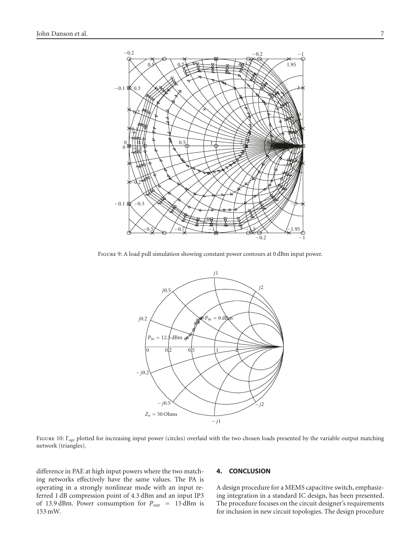

<span id="page-6-0"></span>Figure 9: A load pull simulation showing constant power contours at 0 dBm input power.



<span id="page-6-1"></span>FIGURE 10: Γ<sub>opt</sub> plotted for increasing input power (circles) overlaid with the two chosen loads presented by the variable output matching network (triangles).

difference in PAE at high input powers where the two matching networks effectively have the same values. The PA is operating in a strongly nonlinear mode with an input referred 1 dB compression point of 4*.*3 dBm and an input IP3 of 13*.*9 dBm. Power consumption for *<sup>P</sup>*out <sup>=</sup> 15 dBm is 153 mW.

# **4. CONCLUSION**

A design procedure for a MEMS capacitive switch, emphasizing integration in a standard IC design, has been presented. The procedure focuses on the circuit designer's requirements for inclusion in new circuit topologies. The design procedure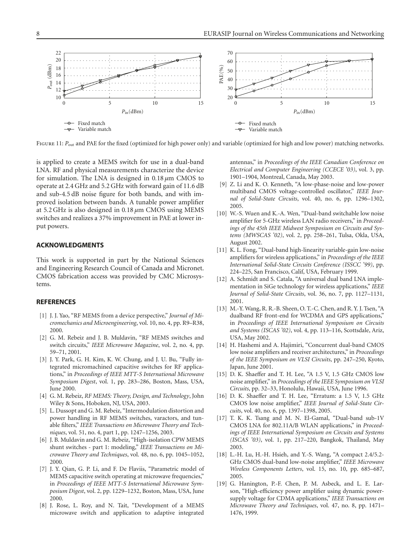

<span id="page-7-19"></span>FIGURE 11: *P*<sub>out</sub> and PAE for the fixed (optimized for high power only) and variable (optimized for high and low power) matching networks.

is applied to create a MEMS switch for use in a dual-band LNA. RF and physical measurements characterize the device for simulation. The LNA is designed in 0*.*<sup>18</sup> *μ*m CMOS to operate at 2*.*4 GHz and 5*.*2 GHz with forward gain of 11*.*6 dB and sub-4*.*5 dB noise figure for both bands, and with improved isolation between bands. A tunable power amplifier at 5*.*2 GHz is also designed in 0*.*<sup>18</sup> *μ*m CMOS using MEMS switches and realizes a 37% improvement in PAE at lower input powers.

# **ACKNOWLEDGMENTS**

This work is supported in part by the National Sciences and Engineering Research Council of Canada and Micronet. CMOS fabrication access was provided by CMC Microsystems.

## <span id="page-7-1"></span><span id="page-7-0"></span>**REFERENCES**

- [1] J. J. Yao, "RF MEMS from a device perspective," *Journal of Micromechanics and Microengineering*, vol. 10, no. 4, pp. R9–R38, 2000.
- <span id="page-7-2"></span>[2] G. M. Rebeiz and J. B. Muldavin, "RF MEMS switches and switch circuits," *IEEE Microwave Magazine*, vol. 2, no. 4, pp. 59–71, 2001.
- <span id="page-7-3"></span>[3] J. Y. Park, G. H. Kim, K. W. Chung, and J. U. Bu, "Fully integrated micromachined capacitive switches for RF applications," in *Proceedings of IEEE MTT-S International Microwave Symposium Digest*, vol. 1, pp. 283–286, Boston, Mass, USA, June 2000.
- <span id="page-7-4"></span>[4] G. M. Rebeiz, *RF MEMS: Theory, Design, and Technology*, John Wiley & Sons, Hoboken, NJ, USA, 2003.
- <span id="page-7-5"></span>[5] L. Dussopt and G. M. Rebeiz, "Intermodulation distortion and power handling in RF MEMS switches, varactors, and tunable filters," *IEEE Transactions on Microwave Theory and Techniques*, vol. 51, no. 4, part 1, pp. 1247–1256, 2003.
- <span id="page-7-6"></span>[6] J. B. Muldavin and G. M. Rebeiz, "High-isolation CPW MEMS shunt switches - part 1: modeling," *IEEE Transactions on Microwave Theory and Techniques*, vol. 48, no. 6, pp. 1045–1052, 2000.
- <span id="page-7-7"></span>[7] J. Y. Qian, G. P. Li, and F. De Flaviis, "Parametric model of MEMS capacitive switch operating at microwave frequencies," in *Proceedings of IEEE MTT-S International Microwave Symposium Digest*, vol. 2, pp. 1229–1232, Boston, Mass, USA, June 2000.
- <span id="page-7-8"></span>[8] J. Rose, L. Roy, and N. Tait, "Development of a MEMS microwave switch and application to adaptive integrated

antennas," in *Proceedings of the IEEE Canadian Conference on Electrical and Computer Engineering (CCECE '03)*, vol. 3, pp. 1901–1904, Montreal, Canada, May 2003.

- <span id="page-7-9"></span>[9] Z. Li and K. O. Kenneth, "A low-phase-noise and low-power multiband CMOS voltage-controlled oscillator," *IEEE Journal of Solid-State Circuits*, vol. 40, no. 6, pp. 1296–1302, 2005.
- <span id="page-7-10"></span>[10] W.-S. Wuen and K.-A. Wen, "Dual-band switchable low noise amplifier for 5-GHz wireless LAN radio receivers," in *Proceedings of the 45th IEEE Midwest Symposium on Circuits and Systems (MWSCAS '02)*, vol. 2, pp. 258–261, Tulsa, Okla, USA, August 2002.
- <span id="page-7-11"></span>[11] K. L. Fong, "Dual-band high-linearity variable-gain low-noise amplifiers for wireless applications," in *Proceedings of the IEEE International Solid-State Circuits Conference (ISSCC '99)*, pp. 224–225, San Francisco, Calif, USA, February 1999.
- [12] A. Schmidt and S. Catala, "A universal dual band LNA implementation in SiGe technology for wireless applications," *IEEE Journal of Solid-State Circuits*, vol. 36, no. 7, pp. 1127–1131, 2001.
- <span id="page-7-12"></span>[13] M.-Y. Wang, R. R.-B. Sheen, O. T.-C. Chen, and R. Y. J. Tsen, "A dualband RF front-end for WCDMA and GPS applications," in *Proceedings of IEEE International Symposium on Circuits and Systems (ISCAS '02)*, vol. 4, pp. 113–116, Scottsdale, Ariz, USA, May 2002.
- <span id="page-7-13"></span>[14] H. Hashemi and A. Hajimiri, "Concurrent dual-band CMOS low noise amplifiers and receiver architectures," in *Proceedings of the IEEE Symposium on VLSI Circuits*, pp. 247–250, Kyoto, Japan, June 2001.
- <span id="page-7-14"></span>[15] D. K. Shaeffer and T. H. Lee, "A 1.5 V, 1.5 GHz CMOS low noise amplifier," in *Proceedings of the IEEE Symposium on VLSI Circuits*, pp. 32–33, Honolulu, Hawaii, USA, June 1996.
- <span id="page-7-15"></span>[16] D. K. Shaeffer and T. H. Lee, "Erratum: a 1.5 V, 1.5 GHz CMOS low noise amplifier," *IEEE Journal of Solid-State Circuits*, vol. 40, no. 6, pp. 1397–1398, 2005.
- <span id="page-7-16"></span>[17] T. K. K. Tsang and M. N. El-Gamal, "Dual-band sub-1V CMOS LNA for 802.11A/B WLAN applications," in *Proceedings of IEEE International Symposium on Circuits and Systems (ISCAS '03)*, vol. 1, pp. 217–220, Bangkok, Thailand, May 2003.
- <span id="page-7-17"></span>[18] L.-H. Lu, H.-H. Hsieh, and Y.-S. Wang, "A compact 2.4/5.2- GHz CMOS dual-band low-noise amplifier," *IEEE Microwave Wireless Components Letters*, vol. 15, no. 10, pp. 685–687, 2005.
- <span id="page-7-18"></span>[19] G. Hanington, P.-F. Chen, P. M. Asbeck, and L. E. Larson, "High-efficiency power amplifier using dynamic powersupply voltage for CDMA applications," *IEEE Transactions on Microwave Theory and Techniques*, vol. 47, no. 8, pp. 1471– 1476, 1999.